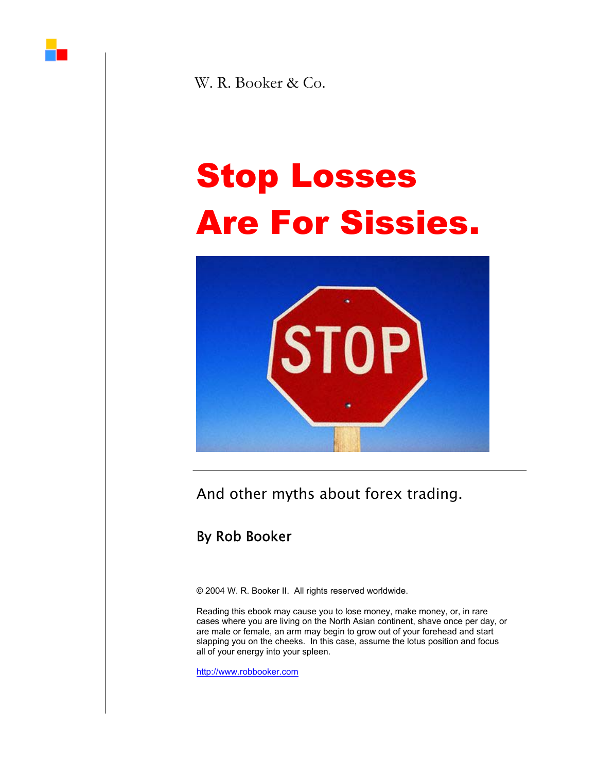

W. R. Booker & Co.

# Stop Losses Are For Sissies.



And other myths about forex trading.

## By Rob Booker

© 2004 W. R. Booker II. All rights reserved worldwide.

Reading this ebook may cause you to lose money, make money, or, in rare cases where you are living on the North Asian continent, shave once per day, or are male or female, an arm may begin to grow out of your forehead and start slapping you on the cheeks. In this case, assume the lotus position and focus all of your energy into your spleen.

<http://www.robbooker.com>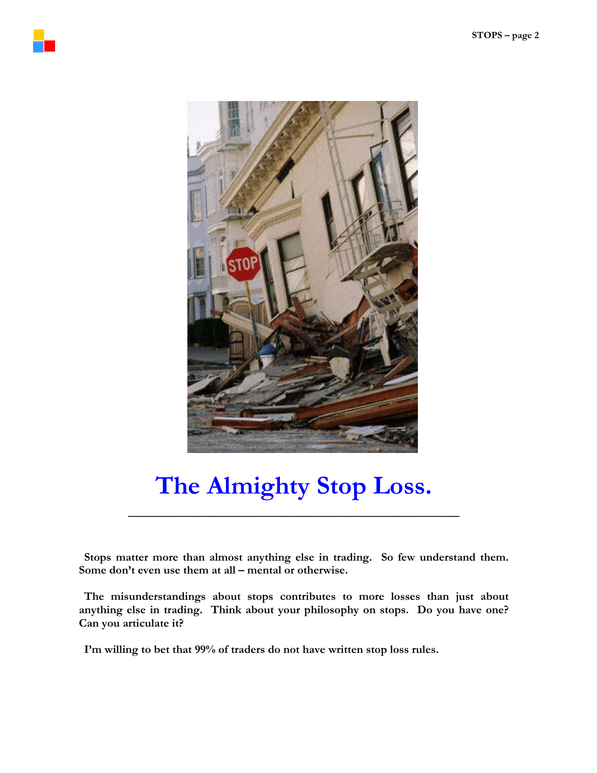



# **The Almighty Stop Loss.**

\_\_\_\_\_\_\_\_\_\_\_\_\_\_\_\_\_\_\_\_\_\_\_\_\_\_\_\_\_\_\_\_\_\_\_\_\_\_\_\_

**Stops matter more than almost anything else in trading. So few understand them. Some don't even use them at all – mental or otherwise.** 

**The misunderstandings about stops contributes to more losses than just about anything else in trading. Think about your philosophy on stops. Do you have one? Can you articulate it?** 

**I'm willing to bet that 99% of traders do not have written stop loss rules.**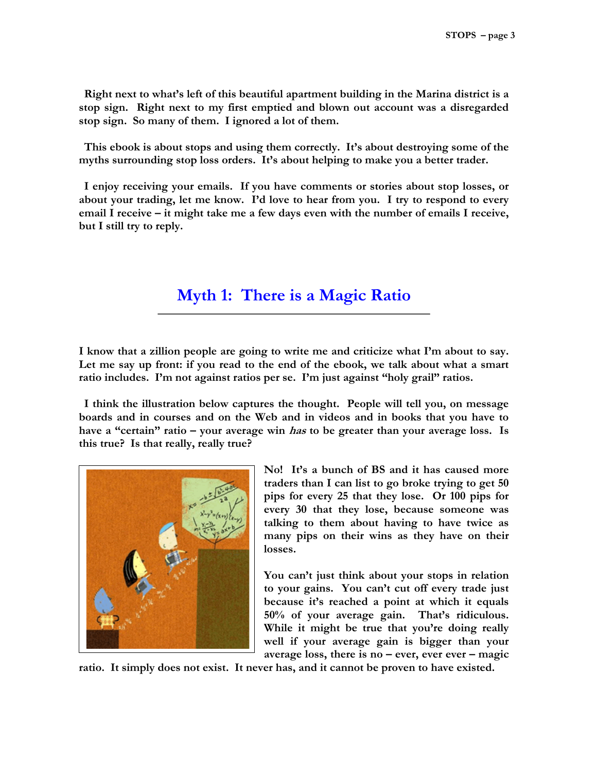**Right next to what's left of this beautiful apartment building in the Marina district is a stop sign. Right next to my first emptied and blown out account was a disregarded stop sign. So many of them. I ignored a lot of them.** 

**This ebook is about stops and using them correctly. It's about destroying some of the myths surrounding stop loss orders. It's about helping to make you a better trader.** 

**I enjoy receiving your emails. If you have comments or stories about stop losses, or about your trading, let me know. I'd love to hear from you. I try to respond to every email I receive – it might take me a few days even with the number of emails I receive, but I still try to reply.** 

### **Myth 1: There is a Magic Ratio**

**I know that a zillion people are going to write me and criticize what I'm about to say.**  Let me say up front: if you read to the end of the ebook, we talk about what a smart **ratio includes. I'm not against ratios per se. I'm just against "holy grail" ratios.** 

**I think the illustration below captures the thought. People will tell you, on message boards and in courses and on the Web and in videos and in books that you have to have a "certain" ratio – your average win has to be greater than your average loss. Is this true? Is that really, really true?** 



**No! It's a bunch of BS and it has caused more traders than I can list to go broke trying to get 50 pips for every 25 that they lose. Or 100 pips for every 30 that they lose, because someone was talking to them about having to have twice as many pips on their wins as they have on their losses.** 

**You can't just think about your stops in relation to your gains. You can't cut off every trade just because it's reached a point at which it equals 50% of your average gain. That's ridiculous. While it might be true that you're doing really well if your average gain is bigger than your average loss, there is no – ever, ever ever – magic** 

**ratio. It simply does not exist. It never has, and it cannot be proven to have existed.**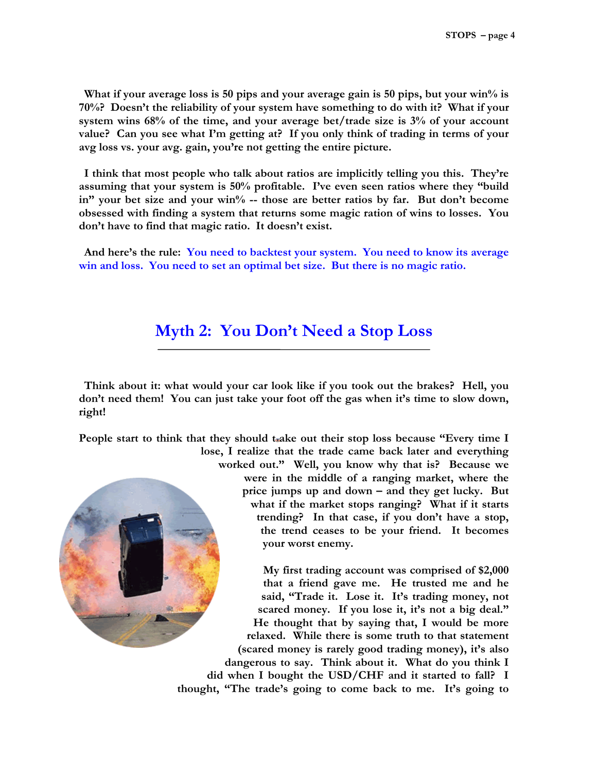**What if your average loss is 50 pips and your average gain is 50 pips, but your win% is 70%? Doesn't the reliability of your system have something to do with it? What if your system wins 68% of the time, and your average bet/trade size is 3% of your account value? Can you see what I'm getting at? If you only think of trading in terms of your avg loss vs. your avg. gain, you're not getting the entire picture.** 

**I think that most people who talk about ratios are implicitly telling you this. They're assuming that your system is 50% profitable. I've even seen ratios where they "build**  in" your bet size and your win<sup>%</sup> -- those are better ratios by far. But don't become **obsessed with finding a system that returns some magic ration of wins to losses. You don't have to find that magic ratio. It doesn't exist.** 

**And here's the rule: You need to backtest your system. You need to know its average win and loss. You need to set an optimal bet size. But there is no magic ratio.**

#### **Myth 2: You Don't Need a Stop Loss**

**Think about it: what would your car look like if you took out the brakes? Hell, you don't need them! You can just take your foot off the gas when it's time to slow down, right!** 

**People start to think that they should t ake out their stop loss because "Every time I lose, I realize that the trade came back later and everything** 



**worked out." Well, you know why that is? Because we were in the middle of a ranging market, where the price jumps up and down – and they get lucky. But what if the market stops ranging? What if it starts trending? In that case, if you don't have a stop, the trend ceases to be your friend. It becomes your worst enemy.** 

**My first trading account was comprised of \$2,000 that a friend gave me. He trusted me and he said, "Trade it. Lose it. It's trading money, not scared money. If you lose it, it's not a big deal." He thought that by saying that, I would be more relaxed. While there is some truth to that statement (scared money is rarely good trading money), it's also dangerous to say. Think about it. What do you think I did when I bought the USD/CHF and it started to fall? I thought, "The trade's going to come back to me. It's going to**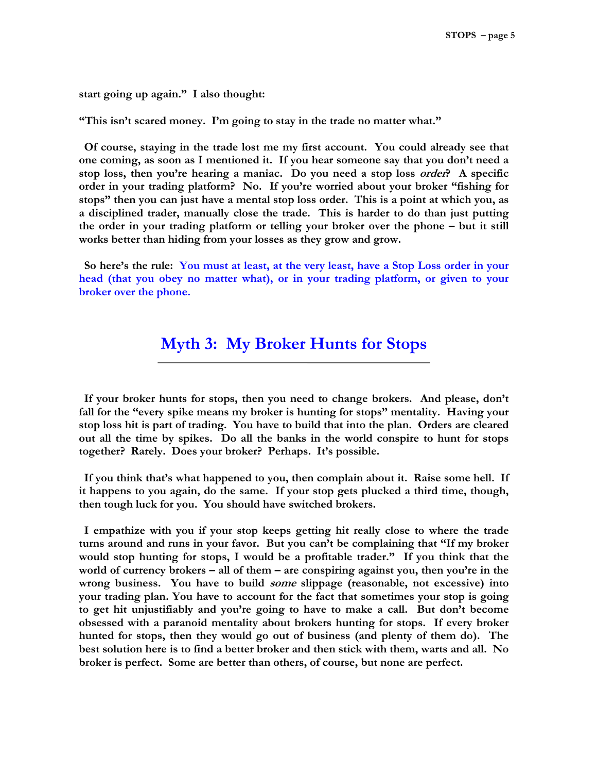**start going up again." I also thought:** 

**"This isn't scared money. I'm going to stay in the trade no matter what."** 

**Of course, staying in the trade lost me my first account. You could already see that one coming, as soon as I mentioned it. If you hear someone say that you don't need a stop loss, then you're hearing a maniac. Do you need a stop loss order? A specific order in your trading platform? No. If you're worried about your broker "fishing for stops" then you can just have a mental stop loss order. This is a point at which you, as a disciplined trader, manually close the trade. This is harder to do than just putting the order in your trading platform or telling your broker over the phone – but it still works better than hiding from your losses as they grow and grow.** 

**So here's the rule: You must at least, at the very least, have a Stop Loss order in your head (that you obey no matter what), or in your trading platform, or given to your broker over the phone.**

#### **Myth 3: My Broker Hunts for Stops**

**If your broker hunts for stops, then you need to change brokers. And please, don't fall for the "every spike means my broker is hunting for stops" mentality. Having your stop loss hit is part of trading. You have to build that into the plan. Orders are cleared out all the time by spikes. Do all the banks in the world conspire to hunt for stops together? Rarely. Does your broker? Perhaps. It's possible.** 

**If you think that's what happened to you, then complain about it. Raise some hell. If it happens to you again, do the same. If your stop gets plucked a third time, though, then tough luck for you. You should have switched brokers.** 

**I empathize with you if your stop keeps getting hit really close to where the trade turns around and runs in your favor. But you can't be complaining that "If my broker would stop hunting for stops, I would be a profitable trader." If you think that the world of currency brokers – all of them – are conspiring against you, then you're in the wrong business. You have to build some slippage (reasonable, not excessive) into your trading plan. You have to account for the fact that sometimes your stop is going to get hit unjustifiably and you're going to have to make a call. But don't become obsessed with a paranoid mentality about brokers hunting for stops. If every broker hunted for stops, then they would go out of business (and plenty of them do). The best solution here is to find a better broker and then stick with them, warts and all. No broker is perfect. Some are better than others, of course, but none are perfect.**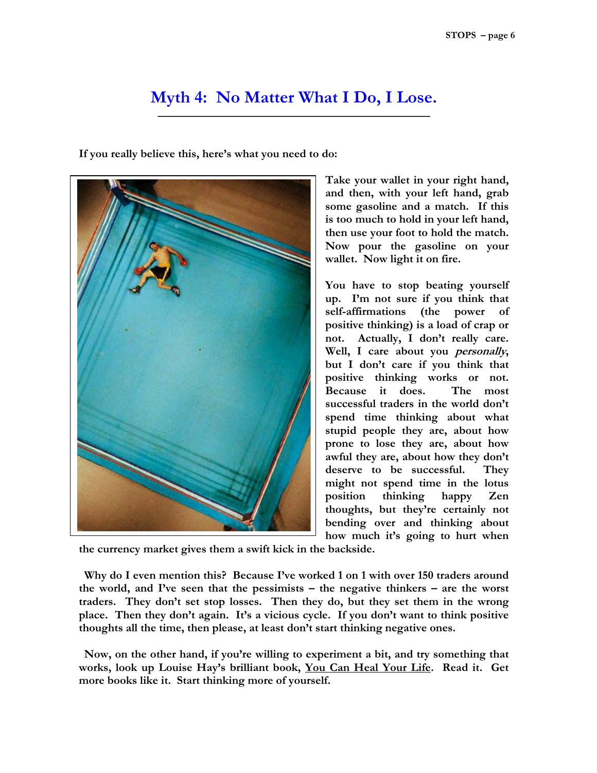#### **Myth 4: No Matter What I Do, I Lose.**

**If you really believe this, here's what you need to do:** 



**Take your wallet in your right hand, and then, with your left hand, grab some gasoline and a match. If this is too much to hold in your left hand, then use your foot to hold the match. Now pour the gasoline on your wallet. Now light it on fire.** 

**You have to stop beating yourself up. I'm not sure if you think that self-affirmations (the power of positive thinking) is a load of crap or not. Actually, I don't really care. Well, I care about you personally, but I don't care if you think that positive thinking works or not. Because it does. The most successful traders in the world don't spend time thinking about what stupid people they are, about how prone to lose they are, about how awful they are, about how they don't deserve to be successful. They might not spend time in the lotus position thinking happy Zen thoughts, but they're certainly not bending over and thinking about how much it's going to hurt when** 

**the currency market gives them a swift kick in the backside.** 

**Why do I even mention this? Because I've worked 1 on 1 with over 150 traders around the world, and I've seen that the pessimists – the negative thinkers – are the worst traders. They don't set stop losses. Then they do, but they set them in the wrong place. Then they don't again. It's a vicious cycle. If you don't want to think positive thoughts all the time, then please, at least don't start thinking negative ones.** 

**Now, on the other hand, if you're willing to experiment a bit, and try something that works, look up Louise Hay's brilliant book, You Can Heal Your Life. Read it. Get more books like it. Start thinking more of yourself.**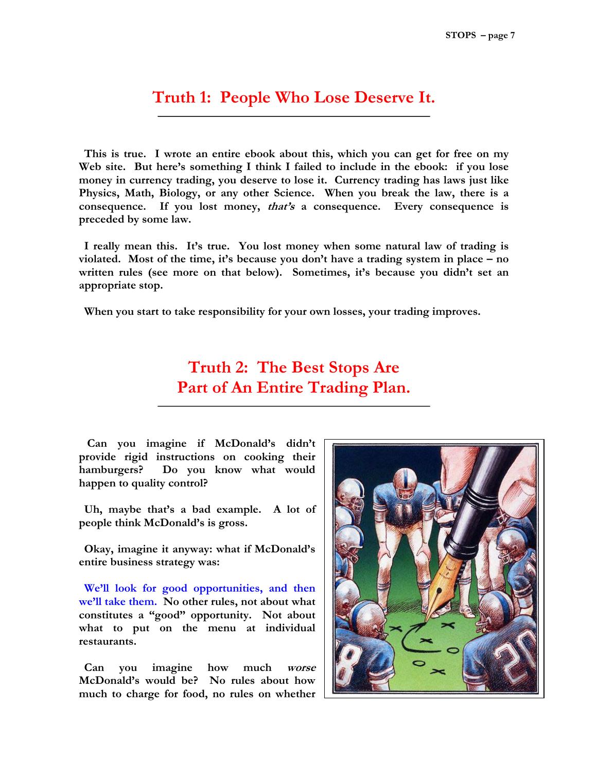#### **Truth 1: People Who Lose Deserve It.**

**This is true. I wrote an entire ebook about this, which you can get for free on my Web site. But here's something I think I failed to include in the ebook: if you lose money in currency trading, you deserve to lose it. Currency trading has laws just like Physics, Math, Biology, or any other Science. When you break the law, there is a consequence. If you lost money, that's a consequence. Every consequence is preceded by some law.** 

**I really mean this. It's true. You lost money when some natural law of trading is violated. Most of the time, it's because you don't have a trading system in place – no written rules (see more on that below). Sometimes, it's because you didn't set an appropriate stop.** 

**When you start to take responsibility for your own losses, your trading improves.** 

### **Truth 2: The Best Stops Are Part of An Entire Trading Plan.**

 **Can you imagine if McDonald's didn't provide rigid instructions on cooking their hamburgers? Do you know what would happen to quality control?** 

**Uh, maybe that's a bad example. A lot of people think McDonald's is gross.** 

**Okay, imagine it anyway: what if McDonald's entire business strategy was:** 

**We'll look for good opportunities, and then we'll take them. No other rules, not about what constitutes a "good" opportunity. Not about what to put on the menu at individual restaurants.** 

**Can you imagine how much worse McDonald's would be? No rules about how much to charge for food, no rules on whether** 

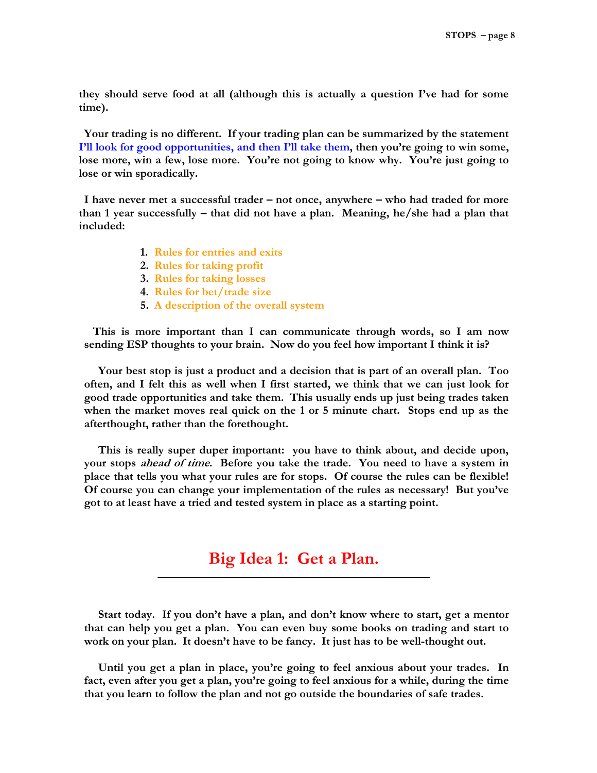**they should serve food at all (although this is actually a question I've had for some time).** 

**Your trading is no different. If your trading plan can be summarized by the statement I'll look for good opportunities, and then I'll take them, then you're going to win some, lose more, win a few, lose more. You're not going to know why. You're just going to lose or win sporadically.** 

**I have never met a successful trader – not once, anywhere – who had traded for more than 1 year successfully – that did not have a plan. Meaning, he/she had a plan that included:** 

- **1. Rules for entries and exits**
- **2. Rules for taking profit**
- **3. Rules for taking losses**
- **4. Rules for bet/trade size**
- **5. A description of the overall system**

 **This is more important than I can communicate through words, so I am now sending ESP thoughts to your brain. Now do you feel how important I think it is?** 

**Your best stop is just a product and a decision that is part of an overall plan. Too often, and I felt this as well when I first started, we think that we can just look for good trade opportunities and take them. This usually ends up just being trades taken when the market moves real quick on the 1 or 5 minute chart. Stops end up as the afterthought, rather than the forethought.** 

**This is really super duper important: you have to think about, and decide upon, your stops ahead of time. Before you take the trade. You need to have a system in place that tells you what your rules are for stops. Of course the rules can be flexible! Of course you can change your implementation of the rules as necessary! But you've got to at least have a tried and tested system in place as a starting point.** 

#### **Big Idea 1: Get a Plan.**

**Start today. If you don't have a plan, and don't know where to start, get a mentor that can help you get a plan. You can even buy some books on trading and start to work on your plan. It doesn't have to be fancy. It just has to be well-thought out.** 

**Until you get a plan in place, you're going to feel anxious about your trades. In fact, even after you get a plan, you're going to feel anxious for a while, during the time that you learn to follow the plan and not go outside the boundaries of safe trades.**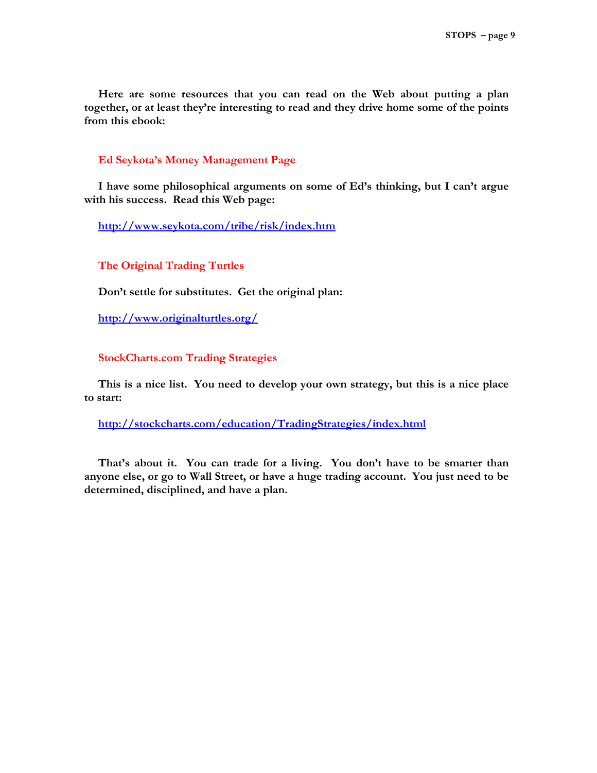**Here are some resources that you can read on the Web about putting a plan together, or at least they're interesting to read and they drive home some of the points from this ebook:** 

#### **Ed Seykota's Money Management Page**

**I have some philosophical arguments on some of Ed's thinking, but I can't argue with his success. Read this Web page:** 

**<http://www.seykota.com/tribe/risk/index.htm>**

**The Original Trading Turtles** 

**Don't settle for substitutes. Get the original plan:** 

**<http://www.originalturtles.org/>**

#### **StockCharts.com Trading Strategies**

**This is a nice list. You need to develop your own strategy, but this is a nice place to start:** 

**<http://stockcharts.com/education/TradingStrategies/index.html>**

**That's about it. You can trade for a living. You don't have to be smarter than anyone else, or go to Wall Street, or have a huge trading account. You just need to be determined, disciplined, and have a plan.**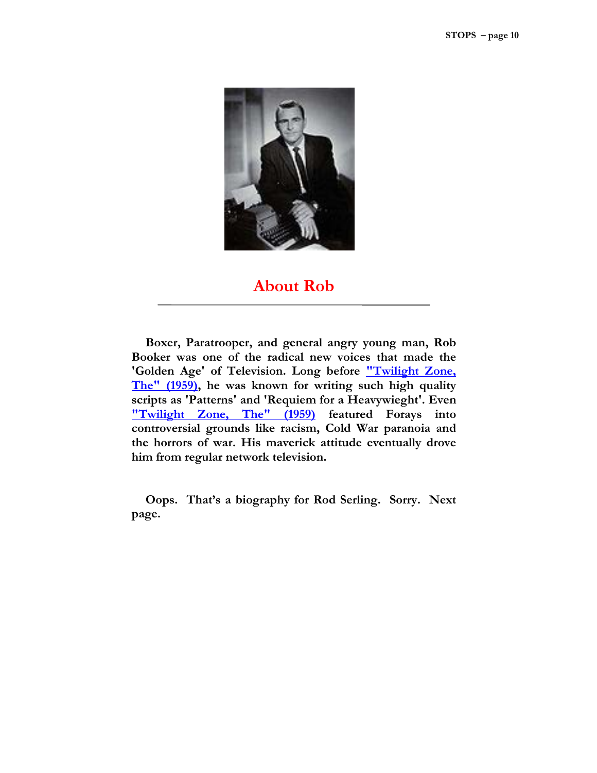

#### **About Rob**

**Boxer, Paratrooper, and general angry young man, Rob Booker was one of the radical new voices that made the 'Golden Age' of Television. Long before "Twilight Zone, The" (1959), he was known for writing such high quality scripts as 'Patterns' and 'Requiem for a Heavywieght'. Even "Twilight Zone, The" (1959) featured Forays into controversial grounds like racism, Cold War paranoia and the horrors of war. His maverick attitude eventually drove him from regular network television.** 

**Oops. That's a biography for Rod Serling. Sorry. Next page.**